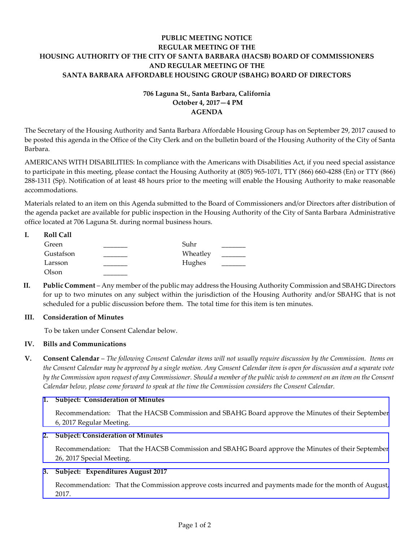# **PUBLIC MEETING NOTICE REGULAR MEETING OF THE HOUSING AUTHORITY OF THE CITY OF SANTA BARBARA (HACSB) BOARD OF COMMISSIONERS AND REGULAR MEETING OF THE SANTA BARBARA AFFORDABLE HOUSING GROUP (SBAHG) BOARD OF DIRECTORS**

# **706 Laguna St., Santa Barbara, California October 4, 2017—4 PM AGENDA**

The Secretary of the Housing Authority and Santa Barbara Affordable Housing Group has on September 29, 2017 caused to be posted this agenda in the Office of the City Clerk and on the bulletin board of the Housing Authority of the City of Santa Barbara.

AMERICANS WITH DISABILITIES: In compliance with the Americans with Disabilities Act, if you need special assistance to participate in this meeting, please contact the Housing Authority at (805) 965-1071, TTY (866) 660-4288 (En) or TTY (866) 288-1311 (Sp). Notification of at least 48 hours prior to the meeting will enable the Housing Authority to make reasonable accommodations.

Materials related to an item on this Agenda submitted to the Board of Commissioners and/or Directors after distribution of the agenda packet are available for public inspection in the Housing Authority of the City of Santa Barbara Administrative office located at 706 Laguna St. during normal business hours.

| <b>Roll Call</b> |          |  |
|------------------|----------|--|
| Green            | Suhr     |  |
| Gustafson        | Wheatley |  |
| Larsson          | Hughes   |  |
| Olson            |          |  |

**II. Public Comment** – Any member of the public may address the Housing Authority Commission and SBAHG Directors for up to two minutes on any subject within the jurisdiction of the Housing Authority and/or SBAHG that is not scheduled for a public discussion before them. The total time for this item is ten minutes.

# **III. Consideration of Minutes**

To be taken under Consent Calendar below.

# **IV. Bills and Communications**

**V. Consent Calendar** – *The following Consent Calendar items will not usually require discussion by the Commission. Items on the Consent Calendar may be approved by a single motion. Any Consent Calendar item is open for discussion and a separate vote by the Commission upon request of any Commissioner. Should a member of the public wish to comment on an item on the Consent Calendar below, please come forward to speak at the time the Commission considers the Consent Calendar.*

# **1. Subject: Consideration of Minutes**

[Recommendation: That the HACSB Commission and SBAHG Board approve the Minutes of their September](http://hacsb.org/download/meetings_2017/items/10_october/item_V_I_2017_10_04.pdf)  6, 2017 Regular Meeting.

# **2. Subject: Consideration of Minutes**

[Recommendation: That the HACSB Commission and SBAHG Board approve the Minutes of their September](http://hacsb.org/download/meetings_2017/items/10_october/item_V_II_2017_10_04.pdf) 26, 2017 Special Meeting.

# **3. Subject: Expenditures August 2017**

[Recommendation: That the Commission approve costs incurred and payments made for the month of August,](http://hacsb.org/download/meetings_2017/items/10_october/item_V_III_2017_10_04.pdf)  2017.